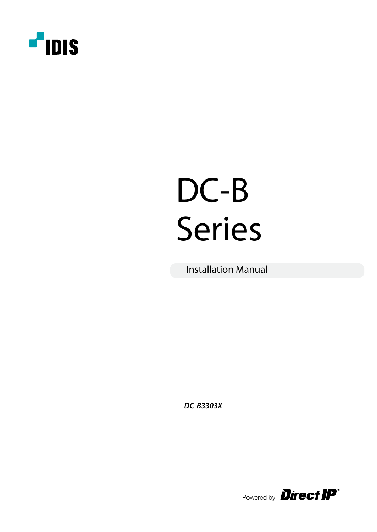

# DC-B Series

Installation Manual

**DC-B3303X**

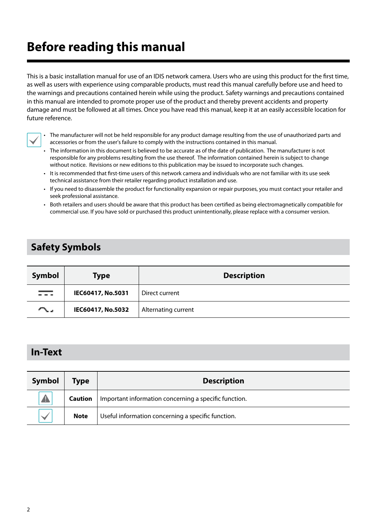# **Before reading this manual**

This is a basic installation manual for use of an IDIS network camera. Users who are using this product for the first time, as well as users with experience using comparable products, must read this manual carefully before use and heed to the warnings and precautions contained herein while using the product. Safety warnings and precautions contained in this manual are intended to promote proper use of the product and thereby prevent accidents and property damage and must be followed at all times. Once you have read this manual, keep it at an easily accessible location for future reference.



• The manufacturer will not be held responsible for any product damage resulting from the use of unauthorized parts and accessories or from the user's failure to comply with the instructions contained in this manual.

- The information in this document is believed to be accurate as of the date of publication. The manufacturer is not responsible for any problems resulting from the use thereof. The information contained herein is subject to change without notice. Revisions or new editions to this publication may be issued to incorporate such changes.
- It is recommended that first-time users of this network camera and individuals who are not familiar with its use seek technical assistance from their retailer regarding product installation and use.
- If you need to disassemble the product for functionality expansion or repair purposes, you must contact your retailer and seek professional assistance.
- Both retailers and users should be aware that this product has been certified as being electromagnetically compatible for commercial use. If you have sold or purchased this product unintentionally, please replace with a consumer version.

# **Safety Symbols**

| Symbol   | <b>Type</b>       | <b>Description</b>  |  |
|----------|-------------------|---------------------|--|
| سيد السو | IEC60417, No.5031 | Direct current      |  |
| $\sim$   | IEC60417, No.5032 | Alternating current |  |

# **In-Text**

| Symbol | Type                                                                    | <b>Description</b> |  |
|--------|-------------------------------------------------------------------------|--------------------|--|
| Δ      | Important information concerning a specific function.<br><b>Caution</b> |                    |  |
|        | Useful information concerning a specific function.<br><b>Note</b>       |                    |  |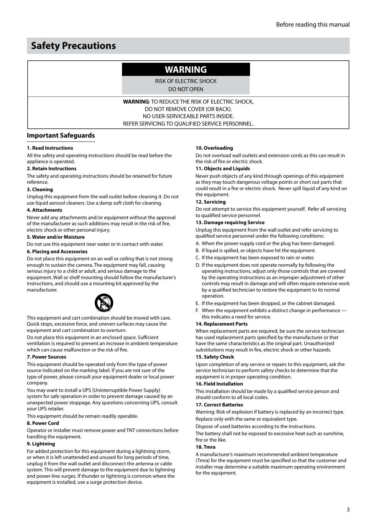# **Safety Precautions**

# **WARNING**

RISK OF ELECTRIC SHOCK

DO NOT OPEN

**WARNING**: TO REDUCE THE RISK OF ELECTRIC SHOCK, DO NOT REMOVE COVER (OR BACK). NO USER-SERVICEABLE PARTS INSIDE. REFER SERVICING TO QUALIFIED SERVICE PERSONNEL.

## **Important Safeguards**

#### **1. Read Instructions**

All the safety and operating instructions should be read before the appliance is operated.

#### **2. Retain Instructions**

The safety and operating instructions should be retained for future reference.

#### **3. Cleaning**

Unplug this equipment from the wall outlet before cleaning it. Do not use liquid aerosol cleaners. Use a damp soft cloth for cleaning.

#### **4. Attachments**

Never add any attachments and/or equipment without the approval of the manufacturer as such additions may result in the risk of fire, electric shock or other personal injury.

#### **5. Water and/or Moisture**

Do not use this equipment near water or in contact with water.

#### **6. Placing and Accessories**

Do not place this equipment on an wall or ceiling that is not strong enough to sustain the camera. The equipment may fall, causing serious injury to a child or adult, and serious damage to the equipment. Wall or shelf mounting should follow the manufacturer's instructions, and should use a mounting kit approved by the manufacturer.



This equipment and cart combination should be moved with care. Quick stops, excessive force, and uneven surfaces may cause the equipment and cart combination to overturn.

Do not place this equipment in an enclosed space. Sufficient ventilation is required to prevent an increase in ambient temperature which can cause malfunction or the risk of fire.

#### **7. Power Sources**

This equipment should be operated only from the type of power source indicated on the marking label. If you are not sure of the type of power, please consult your equipment dealer or local power company.

You may want to install a UPS (Uninterruptible Power Supply) system for safe operation in order to prevent damage caused by an unexpected power stoppage. Any questions concerning UPS, consult your UPS retailer.

This equipment should be remain readily operable.

#### **8. Power Cord**

Operator or installer must remove power and TNT connections before handling the equipment.

#### **9. Lightning**

For added protection for this equipment during a lightning storm, or when it is left unattended and unused for long periods of time, unplug it from the wall outlet and disconnect the antenna or cable system. This will prevent damage to the equipment due to lightning and power-line surges. If thunder or lightning is common where the equipment is installed, use a surge protection device.

#### **10. Overloading**

Do not overload wall outlets and extension cords as this can result in the risk of fire or electric shock.

#### **11. Objects and Liquids**

Never push objects of any kind through openings of this equipment as they may touch dangerous voltage points or short out parts that could result in a fire or electric shock. Never spill liquid of any kind on the equipment.

#### **12. Servicing**

Do not attempt to service this equipment yourself. Refer all servicing to qualified service personnel.

#### **13. Damage requiring Service**

Unplug this equipment from the wall outlet and refer servicing to qualified service personnel under the following conditions:

- A. When the power-supply cord or the plug has been damaged.
- B. If liquid is spilled, or objects have hit the equipment.
- C. If the equipment has been exposed to rain or water.
- D. If the equipment does not operate normally by following the operating instructions, adjust only those controls that are covered by the operating instructions as an improper adjustment of other controls may result in damage and will often require extensive work by a qualified technician to restore the equipment to its normal operation.
- E. If the equipment has been dropped, or the cabinet damaged.
- F. When the equipment exhibits a distinct change in performance this indicates a need for service.

#### **14. Replacement Parts**

When replacement parts are required, be sure the service technician has used replacement parts specified by the manufacturer or that have the same characteristics as the original part. Unauthorized substitutions may result in fire, electric shock or other hazards.

#### **15. Safety Check**

Upon completion of any service or repairs to this equipment, ask the service technician to perform safety checks to determine that the equipment is in proper operating condition.

#### **16. Field Installation**

This installation should be made by a qualified service person and should conform to all local codes.

#### **17. Correct Batteries**

Warning: Risk of explosion if battery is replaced by an incorrect type. Replace only with the same or equivalent type.

Dispose of used batteries according to the instructions.

The battery shall not be exposed to excessive heat such as sunshine, fire or the like.

#### **18. Tmra**

A manufacturer's maximum recommended ambient temperature (Tmra) for the equipment must be specified so that the customer and installer may determine a suitable maximum operating environment for the equipment.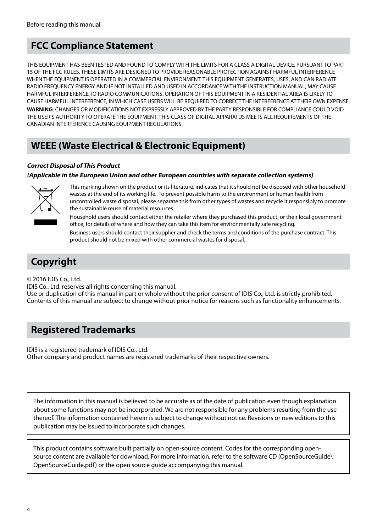# **FCC Compliance Statement**

THIS EQUIPMENT HAS BEEN TESTED AND FOUND TO COMPLY WITH THE LIMITS FOR A CLASS A DIGITAL DEVICE, PURSUANT TO PART 15 OF THE FCC RULES. THESE LIMITS ARE DESIGNED TO PROVIDE REASONABLE PROTECTION AGAINST HARMFUL INTERFERENCE WHEN THE EQUIPMENT IS OPERATED IN A COMMERCIAL ENVIRONMENT. THIS EQUIPMENT GENERATES, USES, AND CAN RADIATE RADIO FREQUENCY ENERGY AND IF NOT INSTALLED AND USED IN ACCORDANCE WITH THE INSTRUCTION MANUAL, MAY CAUSE HARMFUL INTERFERENCE TO RADIO COMMUNICATIONS. OPERATION OF THIS EQUIPMENT IN A RESIDENTIAL AREA IS LIKELY TO CAUSE HARMFUL INTERFERENCE, IN WHICH CASE USERS WILL BE REQUIRED TO CORRECT THE INTERFERENCE AT THEIR OWN EXPENSE. **WARNING**: CHANGES OR MODIFICATIONS NOT EXPRESSLY APPROVED BY THE PARTY RESPONSIBLE FOR COMPLIANCE COULD VOID THE USER'S AUTHORITY TO OPERATE THE EQUIPMENT. THIS CLASS OF DIGITAL APPARATUS MEETS ALL REQUIREMENTS OF THE CANADIAN INTERFERENCE CAUSING EQUIPMENT REGULATIONS.

# **WEEE (Waste Electrical & Electronic Equipment)**

## **Correct Disposal of This Product**

## **(Applicable in the European Union and other European countries with separate collection systems)**



This marking shown on the product or its literature, indicates that it should not be disposed with other household wastes at the end of its working life. To prevent possible harm to the environment or human health from uncontrolled waste disposal, please separate this from other types of wastes and recycle it responsibly to promote the sustainable reuse of material resources.

Household users should contact either the retailer where they purchased this product, or their local government office, for details of where and how they can take this item for environmentally safe recycling.

Business users should contact their supplier and check the terms and conditions of the purchase contract. This product should not be mixed with other commercial wastes for disposal.

# **Copyright**

© 2016 IDIS Co., Ltd.

IDIS Co., Ltd. reserves all rights concerning this manual. Use or duplication of this manual in part or whole without the prior consent of IDIS Co., Ltd. is strictly prohibited. Contents of this manual are subject to change without prior notice for reasons such as functionality enhancements.

# **Registered Trademarks**

IDIS is a registered trademark of IDIS Co., Ltd.

Other company and product names are registered trademarks of their respective owners.

The information in this manual is believed to be accurate as of the date of publication even though explanation about some functions may not be incorporated. We are not responsible for any problems resulting from the use thereof. The information contained herein is subject to change without notice. Revisions or new editions to this publication may be issued to incorporate such changes.

This product contains software built partially on open-source content. Codes for the corresponding opensource content are available for download. For more information, refer to the software CD (OpenSourceGuide\ OpenSourceGuide.pdf) or the open source guide accompanying this manual.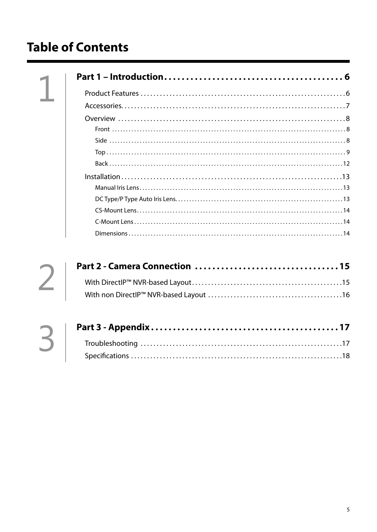# **Table of Contents**



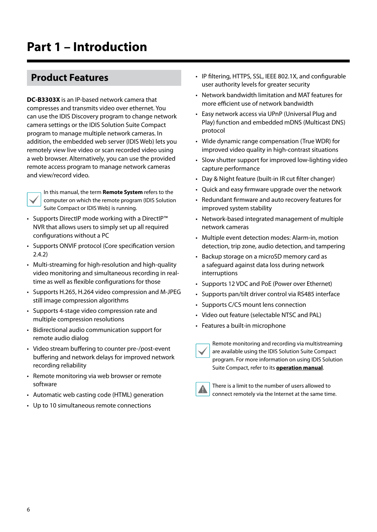# <span id="page-5-0"></span>**Product Features**

**DC-B3303X** is an IP-based network camera that compresses and transmits video over ethernet. You can use the IDIS Discovery program to change network camera settings or the IDIS Solution Suite Compact program to manage multiple network cameras. In addition, the embedded web server (IDIS Web) lets you remotely view live video or scan recorded video using a web browser. Alternatively, you can use the provided remote access program to manage network cameras and view/record video.



In this manual, the term **Remote System** refers to the computer on which the remote program (IDIS Solution Suite Compact or IDIS Web) is running.

- Supports DirectIP mode working with a DirectIP™ NVR that allows users to simply set up all required configurations without a PC
- Supports ONVIF protocol (Core specification version 2.4.2)
- Multi-streaming for high-resolution and high-quality video monitoring and simultaneous recording in realtime as well as flexible configurations for those
- Supports H.265, H.264 video compression and M-JPEG still image compression algorithms
- Supports 4-stage video compression rate and multiple compression resolutions
- Bidirectional audio communication support for remote audio dialog
- Video stream buffering to counter pre-/post-event buffering and network delays for improved network recording reliability
- Remote monitoring via web browser or remote software
- Automatic web casting code (HTML) generation
- Up to 10 simultaneous remote connections
- IP filtering, HTTPS, SSL, IEEE 802.1X, and configurable user authority levels for greater security
- Network bandwidth limitation and MAT features for more efficient use of network bandwidth
- Easy network access via UPnP (Universal Plug and Play) function and embedded mDNS (Multicast DNS) protocol
- Wide dynamic range compensation (True WDR) for improved video quality in high-contrast situations
- Slow shutter support for improved low-lighting video capture performance
- Day & Night feature (built-in IR cut filter changer)
- Quick and easy firmware upgrade over the network
- Redundant firmware and auto recovery features for improved system stability
- Network-based integrated management of multiple network cameras
- Multiple event detection modes: Alarm-in, motion detection, trip zone, audio detection, and tampering
- Backup storage on a microSD memory card as a safeguard against data loss during network interruptions
- Supports 12 VDC and PoE (Power over Ethernet)
- Supports pan/tilt driver control via RS485 interface
- Supports C/CS mount lens connection
- Video out feature (selectable NTSC and PAL)
- Features a built-in microphone

Remote monitoring and recording via multistreaming are available using the IDIS Solution Suite Compact program. For more information on using IDIS Solution Suite Compact, refer to its **operation manual**.



There is a limit to the number of users allowed to connect remotely via the Internet at the same time.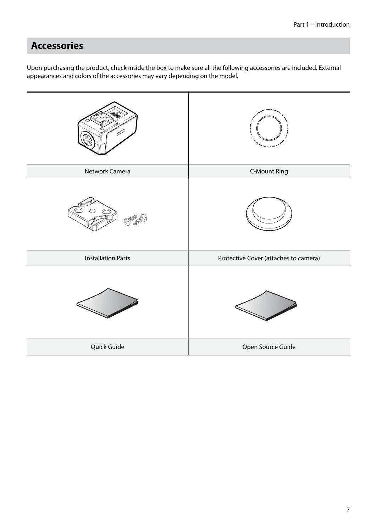# <span id="page-6-0"></span>**Accessories**

Upon purchasing the product, check inside the box to make sure all the following accessories are included. External appearances and colors of the accessories may vary depending on the model.

| Network Camera            | <b>C-Mount Ring</b>                   |
|---------------------------|---------------------------------------|
|                           |                                       |
| <b>Installation Parts</b> | Protective Cover (attaches to camera) |
|                           |                                       |
| Quick Guide               | Open Source Guide                     |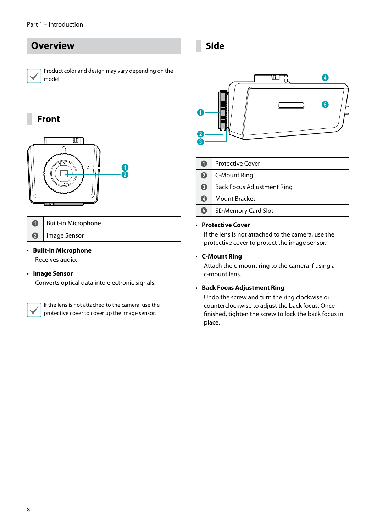# <span id="page-7-0"></span>**Overview**

Product color and design may vary depending on the model.

## **Front**



| Built-in Microphone |
|---------------------|
| Image Sensor        |

## • **Built-in Microphone**

Receives audio.

## • **Image Sensor**

Converts optical data into electronic signals.

If the lens is not attached to the camera, use the protective cover to cover up the image sensor.

**Side**



|                  | <b>Protective Cover</b>           |  |  |
|------------------|-----------------------------------|--|--|
| $\boldsymbol{Q}$ | C-Mount Ring                      |  |  |
| 6                | <b>Back Focus Adjustment Ring</b> |  |  |
| $\overline{A}$   | <b>Mount Bracket</b>              |  |  |
| 6                | SD Memory Card Slot               |  |  |

#### • **Protective Cover**

If the lens is not attached to the camera, use the protective cover to protect the image sensor.

## • **C-Mount Ring**

Attach the c-mount ring to the camera if using a c-mount lens.

## • **Back Focus Adjustment Ring**

Undo the screw and turn the ring clockwise or counterclockwise to adjust the back focus. Once finished, tighten the screw to lock the back focus in place.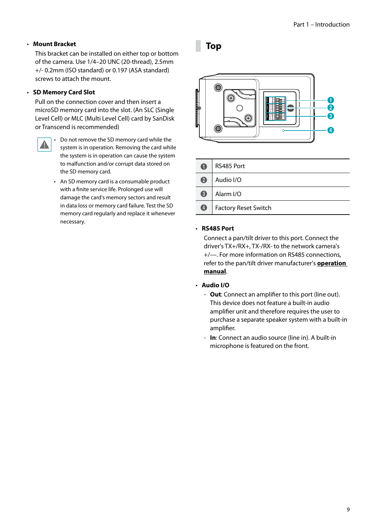## <span id="page-8-0"></span>• **Mount Bracket**

This bracket can be installed on either top or bottom of the camera. Use 1/4–20 UNC (20-thread), 2.5mm +/- 0.2mm (ISO standard) or 0.197 (ASA standard) screws to attach the mount.

## • **SD Memory Card Slot**

Pull on the connection cover and then insert a microSD memory card into the slot. (An SLC (Single Level Cell) or MLC (Multi Level Cell) card by SanDisk or Transcend is recommended)



• Do not remove the SD memory card while the system is in operation. Removing the card while the system is in operation can cause the system to malfunction and/or corrupt data stored on the SD memory card.

• An SD memory card is a consumable product with a finite service life. Prolonged use will damage the card's memory sectors and result in data loss or memory card failure. Test the SD memory card regularly and replace it whenever necessary.

## **Top**



| O          | RS485 Port           |
|------------|----------------------|
| 2          | Audio I/O            |
| 6          | Alarm I/O            |
| $\bigcirc$ | Factory Reset Switch |

#### • **RS485 Port**

Connect a pan/tilt driver to this port. Connect the driver's TX+/RX+, TX-/RX- to the network camera's +/—. For more information on RS485 connections, refer to the pan/tilt driver manufacturer's **operation manual**.

- **Audio I/O** 
	- **Out**: Connect an amplifier to this port (line out). This device does not feature a built-in audio amplifier unit and therefore requires the user to purchase a separate speaker system with a built-in amplifier.
	- **In**: Connect an audio source (line in). A built-in microphone is featured on the front.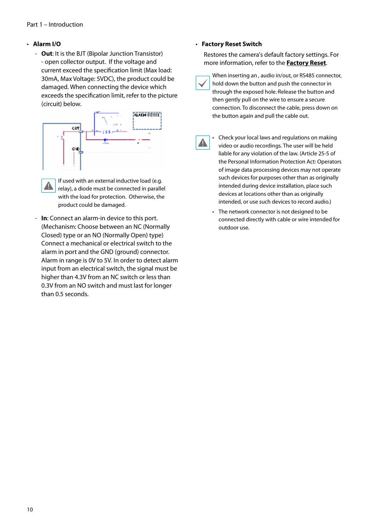## • **Alarm I/O**

 - **Out**: It is the BJT (Bipolar Junction Transistor) - open collector output. If the voltage and current exceed the specification limit (Max load: 30mA, Max Voltage: 5VDC), the product could be damaged. When connecting the device which exceeds the specification limit, refer to the picture (circuit) below.



If used with an external inductive load (e.g. A relay), a diode must be connected in parallel with the load for protection. Otherwise, the product could be damaged.

 - **In**: Connect an alarm-in device to this port. (Mechanism: Choose between an NC (Normally Closed) type or an NO (Normally Open) type) Connect a mechanical or electrical switch to the alarm in port and the GND (ground) connector. Alarm in range is 0V to 5V. In order to detect alarm input from an electrical switch, the signal must be higher than 4.3V from an NC switch or less than 0.3V from an NO switch and must last for longer than 0.5 seconds.

#### • **Factory Reset Switch**

Restores the camera's default factory settings. For more information, refer to the **[Factory Reset](#page-10-0)**.

When inserting an , audio in/out, or RS485 connector, hold down the button and push the connector in through the exposed hole. Release the button and then gently pull on the wire to ensure a secure connection. To disconnect the cable, press down on the button again and pull the cable out.

A

• Check your local laws and regulations on making video or audio recordings. The user will be held liable for any violation of the law. (Article 25-5 of the Personal Information Protection Act: Operators of image data processing devices may not operate such devices for purposes other than as originally intended during device installation, place such devices at locations other than as originally intended, or use such devices to record audio.)

• The network connector is not designed to be connected directly with cable or wire intended for outdoor use.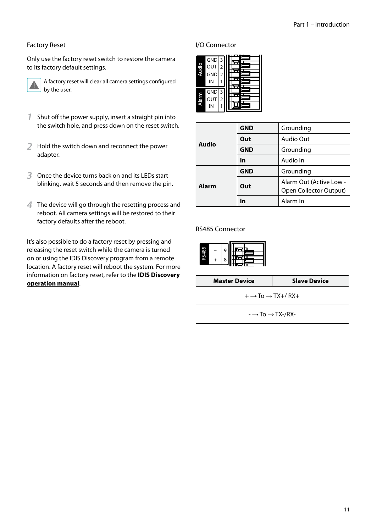## <span id="page-10-0"></span>Factory Reset

Only use the factory reset switch to restore the camera to its factory default settings.



A factory reset will clear all camera settings configured by the user.

- **1** Shut off the power supply, insert a straight pin into the switch hole, and press down on the reset switch.
- **2** Hold the switch down and reconnect the power adapter.
- **3** Once the device turns back on and its LEDs start blinking, wait 5 seconds and then remove the pin.
- **4** The device will go through the resetting process and reboot. All camera settings will be restored to their factory defaults after the reboot.

It's also possible to do a factory reset by pressing and releasing the reset switch while the camera is turned on or using the IDIS Discovery program from a remote location. A factory reset will reboot the system. For more information on factory reset, refer to the **IDIS Discovery operation manual**.

## I/O Connector

| Ãudi  | GND <sub>3</sub><br>OUT<br><b>GND</b><br>IN | 2<br>2 |  |
|-------|---------------------------------------------|--------|--|
| Alarm | <b>GND</b><br>OUT<br>IN                     | ξ<br>2 |  |

|       | <b>GND</b> | Grounding                                         |
|-------|------------|---------------------------------------------------|
| Audio | Out        | Audio Out                                         |
|       | <b>GND</b> | Grounding                                         |
|       | In         | Audio In                                          |
|       | <b>GND</b> | Grounding                                         |
| Alarm | Out        | Alarm Out (Active Low -<br>Open Collector Output) |
|       | In         | Alarm In                                          |

## RS485 Connector



**Master Device** Slave Device

 $+ \rightarrow$  To  $\rightarrow$  TX+/RX+

 $\rightarrow$  To  $\rightarrow$  TX-/RX-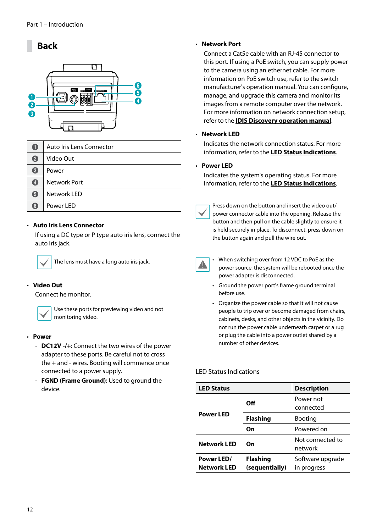# <span id="page-11-0"></span>**Back**



| A                 | Auto Iris Lens Connector |
|-------------------|--------------------------|
| 2                 | Video Out                |
| $\left( 3\right)$ | Power                    |
| $\left( 4\right)$ | Network Port             |
| 6                 | Network LED              |
| 6                 | Power LED                |

## • **Auto Iris Lens Connector**

If using a DC type or P type auto iris lens, connect the auto iris jack.



The lens must have a long auto iris jack.

## • **Video Out**

Connect he monitor.



Use these ports for previewing video and not monitoring video.

- **Power**
	- **DC12V -/+**: Connect the two wires of the power adapter to these ports. Be careful not to cross the + and - wires. Booting will commence once connected to a power supply.
	- **FGND (Frame Ground)**: Used to ground the device.

#### • **Network Port**

Connect a Cat5e cable with an RJ-45 connector to this port. If using a PoE switch, you can supply power to the camera using an ethernet cable. For more information on PoE switch use, refer to the switch manufacturer's operation manual. You can configure, manage, and upgrade this camera and monitor its images from a remote computer over the network. For more information on network connection setup, refer to the **IDIS Discovery operation manual**.

## • **Network LED**

Indicates the network connection status. For more information, refer to the **[LED Status Indications](#page-11-1)**.

#### • **Power LED**

Indicates the system's operating status. For more information, refer to the **[LED Status Indications](#page-11-1)**.

Press down on the button and insert the video out/ power connector cable into the opening. Release the button and then pull on the cable slightly to ensure it is held securely in place. To disconnect, press down on the button again and pull the wire out.



- When switching over from 12 VDC to PoE as the power source, the system will be rebooted once the power adapter is disconnected.
- Ground the power port's frame ground terminal before use.
- Organize the power cable so that it will not cause people to trip over or become damaged from chairs, cabinets, desks, and other objects in the vicinity. Do not run the power cable underneath carpet or a rug or plug the cable into a power outlet shared by a number of other devices.

### <span id="page-11-1"></span>LED Status Indications

| <b>LED Status</b>                |                                   | <b>Description</b>              |
|----------------------------------|-----------------------------------|---------------------------------|
| <b>Power LED</b>                 | Off                               | Power not<br>connected          |
|                                  | <b>Flashing</b>                   | <b>Booting</b>                  |
|                                  | On                                | Powered on                      |
| <b>Network LED</b>               | On                                | Not connected to<br>network     |
| Power LED/<br><b>Network LED</b> | <b>Flashing</b><br>(sequentially) | Software upgrade<br>in progress |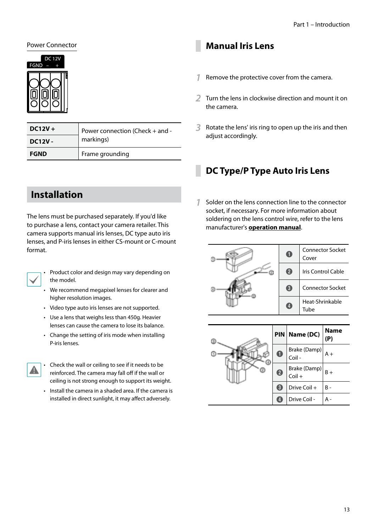## <span id="page-12-0"></span>Power Connector



| $DC12V +$     | Power connection (Check + and -<br>markings) |
|---------------|----------------------------------------------|
| <b>DC12V-</b> |                                              |
| <b>FGND</b>   | Frame grounding                              |

# **Installation**

The lens must be purchased separately. If you'd like to purchase a lens, contact your camera retailer. This camera supports manual iris lenses, DC type auto iris lenses, and P-iris lenses in either CS-mount or C-mount format.



• Product color and design may vary depending on the model.

- We recommend megapixel lenses for clearer and higher resolution images.
- Video type auto iris lenses are not supported.
- Use a lens that weighs less than 450g. Heavier lenses can cause the camera to lose its balance.
- Change the setting of iris mode when installing P-iris lenses.



• Check the wall or ceiling to see if it needs to be reinforced. The camera may fall off if the wall or ceiling is not strong enough to support its weight.

• Install the camera in a shaded area. If the camera is installed in direct sunlight, it may affect adversely.

## **Manual Iris Lens**

- **1** Remove the protective cover from the camera.
- **2** Turn the lens in clockwise direction and mount it on the camera.
- **3** Rotate the lens' iris ring to open up the iris and then adjust accordingly.

## **DC Type/P Type Auto Iris Lens**

**1** Solder on the lens connection line to the connector socket, if necessary. For more information about soldering on the lens control wire, refer to the lens manufacturer's **operation manual**.



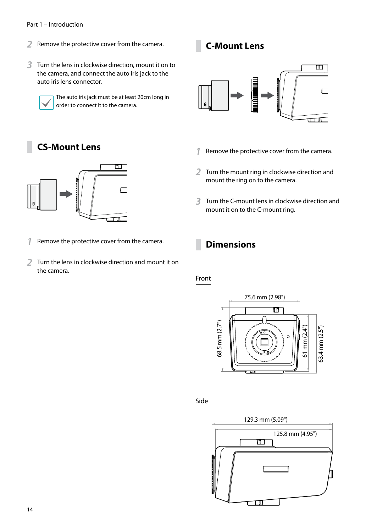#### <span id="page-13-0"></span>Part 1 – Introduction

- **2** Remove the protective cover from the camera.
- **3** Turn the lens in clockwise direction, mount it on to the camera, and connect the auto iris jack to the auto iris lens connector.



The auto iris jack must be at least 20cm long in order to connect it to the camera.

# **CS-Mount Lens**



- **1** Remove the protective cover from the camera.
- **2** Turn the lens in clockwise direction and mount it on the camera.

# **C-Mount Lens**



- **1** Remove the protective cover from the camera.
- **2** Turn the mount ring in clockwise direction and mount the ring on to the camera.
- **3** Turn the C-mount lens in clockwise direction and mount it on to the C-mount ring.

# **Dimensions**

## Front



Side

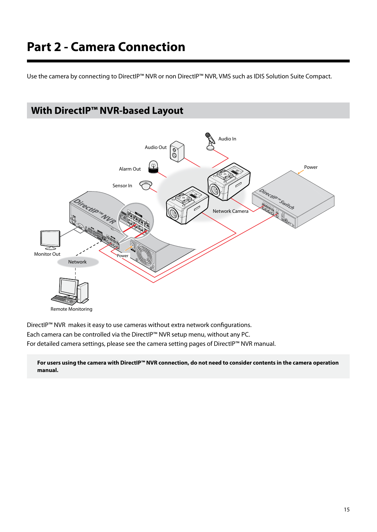# <span id="page-14-0"></span>**Part 2 - Camera Connection**

Use the camera by connecting to DirectIP™ NVR or non DirectIP™ NVR, VMS such as IDIS Solution Suite Compact.



DirectIP™ NVR makes it easy to use cameras without extra network configurations. Each camera can be controlled via the DirectIP™ NVR setup menu, without any PC. For detailed camera settings, please see the camera setting pages of DirectIP™ NVR manual.

**For users using the camera with DirectIP™ NVR connection, do not need to consider contents in the camera operation manual.**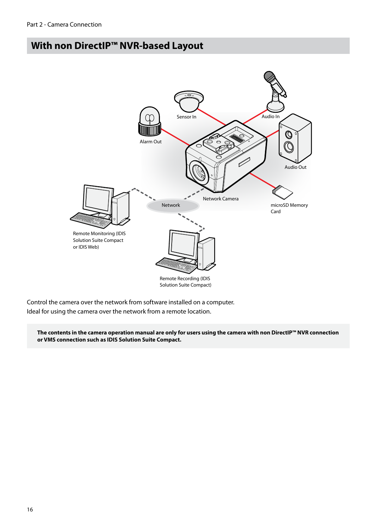# <span id="page-15-0"></span>**With non DirectIP™ NVR-based Layout**



Control the camera over the network from software installed on a computer. Ideal for using the camera over the network from a remote location.

**The contents in the camera operation manual are only for users using the camera with non DirectIP™ NVR connection or VMS connection such as IDIS Solution Suite Compact.**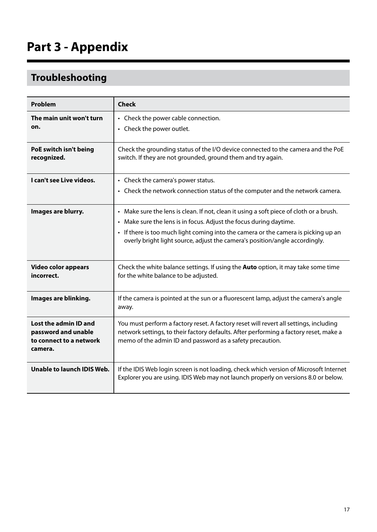# <span id="page-16-0"></span>**Troubleshooting**

| Problem                                                                            | <b>Check</b>                                                                                                                                                                                                                                                                                                                       |
|------------------------------------------------------------------------------------|------------------------------------------------------------------------------------------------------------------------------------------------------------------------------------------------------------------------------------------------------------------------------------------------------------------------------------|
| The main unit won't turn<br>on.                                                    | • Check the power cable connection.<br>• Check the power outlet.                                                                                                                                                                                                                                                                   |
| PoE switch isn't being<br>recognized.                                              | Check the grounding status of the I/O device connected to the camera and the PoE<br>switch. If they are not grounded, ground them and try again.                                                                                                                                                                                   |
| I can't see Live videos.                                                           | • Check the camera's power status.<br>• Check the network connection status of the computer and the network camera.                                                                                                                                                                                                                |
| Images are blurry.                                                                 | • Make sure the lens is clean. If not, clean it using a soft piece of cloth or a brush.<br>• Make sure the lens is in focus. Adjust the focus during daytime.<br>• If there is too much light coming into the camera or the camera is picking up an<br>overly bright light source, adjust the camera's position/angle accordingly. |
| Video color appears<br>incorrect.                                                  | Check the white balance settings. If using the <b>Auto</b> option, it may take some time<br>for the white balance to be adjusted.                                                                                                                                                                                                  |
| Images are blinking.                                                               | If the camera is pointed at the sun or a fluorescent lamp, adjust the camera's angle<br>away.                                                                                                                                                                                                                                      |
| Lost the admin ID and<br>password and unable<br>to connect to a network<br>camera. | You must perform a factory reset. A factory reset will revert all settings, including<br>network settings, to their factory defaults. After performing a factory reset, make a<br>memo of the admin ID and password as a safety precaution.                                                                                        |
| Unable to launch IDIS Web.                                                         | If the IDIS Web login screen is not loading, check which version of Microsoft Internet<br>Explorer you are using. IDIS Web may not launch properly on versions 8.0 or below.                                                                                                                                                       |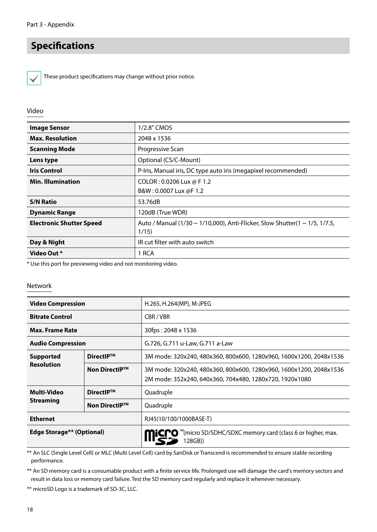# <span id="page-17-0"></span>**Specifications**



These product specifications may change without prior notice.

## Video

| <b>Image Sensor</b>             | 1/2.8" CMOS                                                                         |
|---------------------------------|-------------------------------------------------------------------------------------|
| <b>Max. Resolution</b>          | 2048 x 1536                                                                         |
| <b>Scanning Mode</b>            | Progressive Scan                                                                    |
| Lens type                       | Optional (CS/C-Mount)                                                               |
| <b>Iris Control</b>             | P-Iris, Manual iris, DC type auto iris (megapixel recommended)                      |
| <b>Min. Illumination</b>        | COLOR: 0.0206 Lux @ F 1.2<br>B&W: 0.0007 Lux @F 1.2                                 |
|                                 |                                                                                     |
| <b>S/N Ratio</b>                | 53.76dB                                                                             |
| <b>Dynamic Range</b>            | 120dB (True WDR)                                                                    |
| <b>Electronic Shutter Speed</b> | Auto / Manual (1/30 ~ 1/10,000), Anti-Flicker, Slow Shutter(1 ~ 1/5, 1/7.5,<br>1/15 |
| Day & Night                     | IR cut filter with auto switch                                                      |
| Video Out *                     | 1 RCA                                                                               |

\* Use this port for previewing video and not monitoring video.

#### Network

| <b>Video Compression</b>  |                      | H.265, H.264(MP), M-JPEG                                                                                                      |
|---------------------------|----------------------|-------------------------------------------------------------------------------------------------------------------------------|
| <b>Bitrate Control</b>    |                      | CBR/VBR                                                                                                                       |
| <b>Max. Frame Rate</b>    |                      | 30fps: 2048 x 1536                                                                                                            |
| <b>Audio Compression</b>  |                      | G.726, G.711 u-Law, G.711 a-Law                                                                                               |
| <b>Supported</b>          | DirectIP™            | 3M mode: 320x240, 480x360, 800x600, 1280x960, 1600x1200, 2048x1536                                                            |
| <b>Resolution</b>         | <b>Non DirectIP™</b> | 3M mode: 320x240, 480x360, 800x600, 1280x960, 1600x1200, 2048x1536<br>2M mode: 352x240, 640x360, 704x480, 1280x720, 1920x1080 |
| Multi-Video               | DirectIP™            | Quadruple                                                                                                                     |
| <b>Streaming</b>          | <b>Non DirectIP™</b> | Quadruple                                                                                                                     |
| <b>Ethernet</b>           |                      | RJ45(10/100/1000BASE-T)                                                                                                       |
| Edge Storage** (Optional) |                      | "(micro SD/SDHC/SDXC memory card (class 6 or higher, max.<br>128GB))                                                          |

\*\* An SLC (Single Level Cell) or MLC (Multi Level Cell) card by SanDisk or Transcend is recommended to ensure stable recording performance.

\*\* An SD memory card is a consumable product with a finite service life. Prolonged use will damage the card's memory sectors and result in data loss or memory card failure. Test the SD memory card regularly and replace it whenever necessary.

\*\* microSD Logo is a trademark of SD-3C, LLC.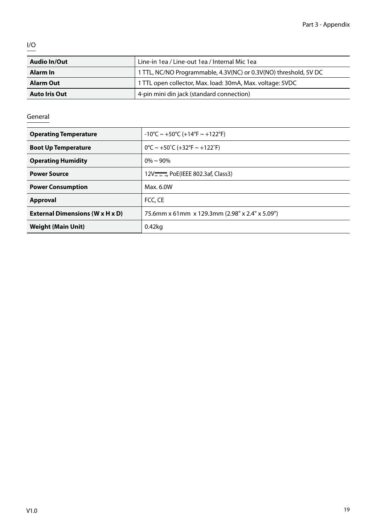$\frac{1}{0}$ 

| <b>Audio In/Out</b>  | Line-in 1ea / Line-out 1ea / Internal Mic 1ea                    |
|----------------------|------------------------------------------------------------------|
| Alarm In             | 1 TTL, NC/NO Programmable, 4.3V(NC) or 0.3V(NO) threshold, 5V DC |
| <b>Alarm Out</b>     | 1 TTL open collector, Max. load: 30mA, Max. voltage: 5VDC        |
| <b>Auto Iris Out</b> | 4-pin mini din jack (standard connection)                        |

## General

| <b>Operating Temperature</b>           | $-10^{\circ}$ C ~ +50°C (+14°F ~ +122°F)                                |
|----------------------------------------|-------------------------------------------------------------------------|
| <b>Boot Up Temperature</b>             | $0^{\circ}$ C ~ +50 $^{\circ}$ C (+32 $^{\circ}$ F ~ +122 $^{\circ}$ F) |
| <b>Operating Humidity</b>              | $0\% \sim 90\%$                                                         |
| <b>Power Source</b>                    | 12V <sub>III</sub> PoE(IEEE 802.3af, Class3)                            |
| <b>Power Consumption</b>               | Max. 6.0W                                                               |
| Approval                               | FCC, CE                                                                 |
| <b>External Dimensions (W x H x D)</b> | 75.6mm x 61mm x 129.3mm (2.98" x 2.4" x 5.09")                          |
| <b>Weight (Main Unit)</b>              | $0.42$ kg                                                               |